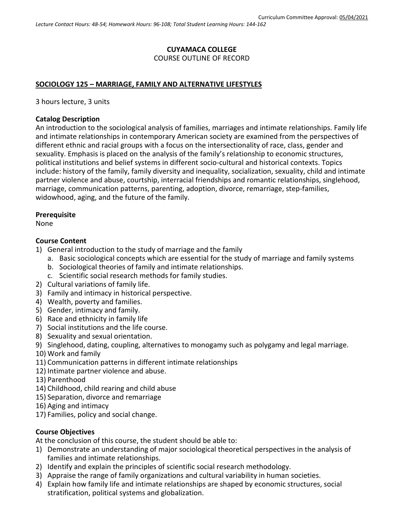### **CUYAMACA COLLEGE** COURSE OUTLINE OF RECORD

## **SOCIOLOGY 125 – MARRIAGE, FAMILY AND ALTERNATIVE LIFESTYLES**

3 hours lecture, 3 units

#### **Catalog Description**

An introduction to the sociological analysis of families, marriages and intimate relationships. Family life and intimate relationships in contemporary American society are examined from the perspectives of different ethnic and racial groups with a focus on the intersectionality of race, class, gender and sexuality. Emphasis is placed on the analysis of the family's relationship to economic structures, political institutions and belief systems in different socio-cultural and historical contexts. Topics include: history of the family, family diversity and inequality, socialization, sexuality, child and intimate partner violence and abuse, courtship, interracial friendships and romantic relationships, singlehood, marriage, communication patterns, parenting, adoption, divorce, remarriage, step-families, widowhood, aging, and the future of the family.

#### **Prerequisite**

None

#### **Course Content**

- 1) General introduction to the study of marriage and the family
	- a. Basic sociological concepts which are essential for the study of marriage and family systems
	- b. Sociological theories of family and intimate relationships.
	- c. Scientific social research methods for family studies.
- 2) Cultural variations of family life.
- 3) Family and intimacy in historical perspective.
- 4) Wealth, poverty and families.
- 5) Gender, intimacy and family.
- 6) Race and ethnicity in family life
- 7) Social institutions and the life course.
- 8) Sexuality and sexual orientation.
- 9) Singlehood, dating, coupling, alternatives to monogamy such as polygamy and legal marriage.
- 10) Work and family
- 11) Communication patterns in different intimate relationships
- 12) Intimate partner violence and abuse.
- 13) Parenthood
- 14) Childhood, child rearing and child abuse
- 15) Separation, divorce and remarriage
- 16) Aging and intimacy
- 17) Families, policy and social change.

### **Course Objectives**

At the conclusion of this course, the student should be able to:

- 1) Demonstrate an understanding of major sociological theoretical perspectives in the analysis of families and intimate relationships.
- 2) Identify and explain the principles of scientific social research methodology.
- 3) Appraise the range of family organizations and cultural variability in human societies.
- 4) Explain how family life and intimate relationships are shaped by economic structures, social stratification, political systems and globalization.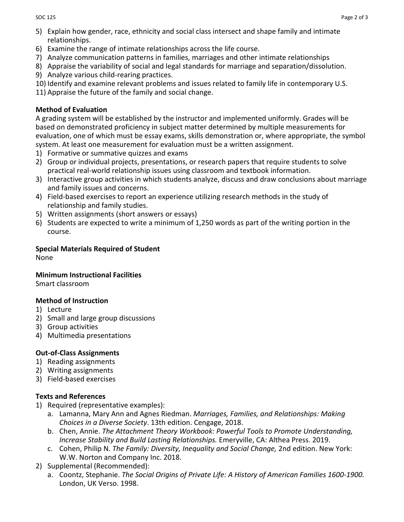- 5) Explain how gender, race, ethnicity and social class intersect and shape family and intimate relationships.
- 6) Examine the range of intimate relationships across the life course.
- 7) Analyze communication patterns in families, marriages and other intimate relationships
- 8) Appraise the variability of social and legal standards for marriage and separation/dissolution.
- 9) Analyze various child-rearing practices.
- 10) Identify and examine relevant problems and issues related to family life in contemporary U.S.
- 11) Appraise the future of the family and social change.

### **Method of Evaluation**

A grading system will be established by the instructor and implemented uniformly. Grades will be based on demonstrated proficiency in subject matter determined by multiple measurements for evaluation, one of which must be essay exams, skills demonstration or, where appropriate, the symbol system. At least one measurement for evaluation must be a written assignment.

- 1) Formative or summative quizzes and exams
- 2) Group or individual projects, presentations, or research papers that require students to solve practical real-world relationship issues using classroom and textbook information.
- 3) Interactive group activities in which students analyze, discuss and draw conclusions about marriage and family issues and concerns.
- 4) Field-based exercises to report an experience utilizing research methods in the study of relationship and family studies.
- 5) Written assignments (short answers or essays)
- 6) Students are expected to write a minimum of 1,250 words as part of the writing portion in the course.

## **Special Materials Required of Student**

None

### **Minimum Instructional Facilities**

Smart classroom

### **Method of Instruction**

- 1) Lecture
- 2) Small and large group discussions
- 3) Group activities
- 4) Multimedia presentations

### **Out-of-Class Assignments**

- 1) Reading assignments
- 2) Writing assignments
- 3) Field-based exercises

## **Texts and References**

- 1) Required (representative examples):
	- a. Lamanna, Mary Ann and Agnes Riedman. *Marriages, Families, and Relationships: Making Choices in a Diverse Society*. 13th edition. Cengage, 2018.
	- b. Chen, Annie. *The Attachment Theory Workbook: Powerful Tools to Promote Understanding, Increase Stability and Build Lasting Relationships.* Emeryville, CA: Althea Press. 2019.
	- c. Cohen, Philip N. *The Family: Diversity, Inequality and Social Change,* 2nd edition. New York: W.W. Norton and Company Inc. 2018.
- 2) Supplemental (Recommended):
	- a. Coontz, Stephanie. *The Social Origins of Private Life: A History of American Families 1600-1900.*  London, UK Verso. 1998.